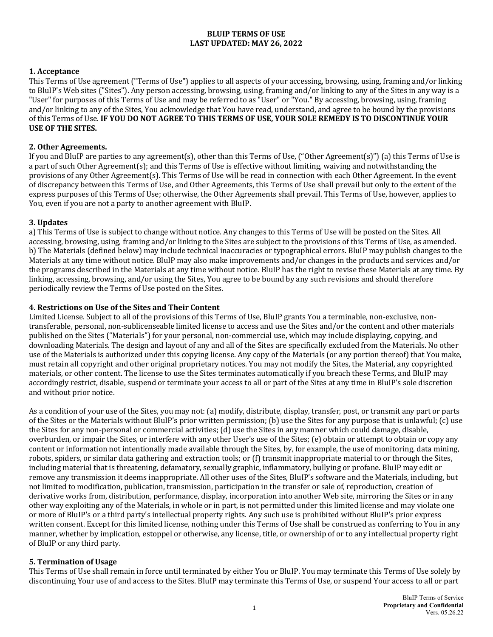## **BLUIP TERMS OF USE LAST UPDATED: MAY 26, 2022**

## **1. Acceptance**

This Terms of Use agreement ("Terms of Use") applies to all aspects of your accessing, browsing, using, framing and/or linking to BluIP's Web sites ("Sites"). Any person accessing, browsing, using, framing and/or linking to any of the Sites in any way is a "User" for purposes of this Terms of Use and may be referred to as "User" or "You." By accessing, browsing, using, framing and/or linking to any of the Sites, You acknowledge that You have read, understand, and agree to be bound by the provisions of this Terms of Use. **IF YOU DO NOT AGREE TO THIS TERMS OF USE, YOUR SOLE REMEDY IS TO DISCONTINUE YOUR USE OF THE SITES.** 

## **2. Other Agreements.**

If you and BluIP are parties to any agreement(s), other than this Terms of Use, ("Other Agreement(s)") (a) this Terms of Use is a part of such Other Agreement(s); and this Terms of Use is effective without limiting, waiving and notwithstanding the provisions of any Other Agreement(s). This Terms of Use will be read in connection with each Other Agreement. In the event of discrepancy between this Terms of Use, and Other Agreements, this Terms of Use shall prevail but only to the extent of the express purposes of this Terms of Use; otherwise, the Other Agreements shall prevail. This Terms of Use, however, applies to You, even if you are not a party to another agreement with BluIP.

## **3. Updates**

a) This Terms of Use is subject to change without notice. Any changes to this Terms of Use will be posted on the Sites. All accessing, browsing, using, framing and/or linking to the Sites are subject to the provisions of this Terms of Use, as amended. b) The Materials (defined below) may include technical inaccuracies or typographical errors. BluIP may publish changes to the Materials at any time without notice. BluIP may also make improvements and/or changes in the products and services and/or the programs described in the Materials at any time without notice. BluIP has the right to revise these Materials at any time. By linking, accessing, browsing, and/or using the Sites, You agree to be bound by any such revisions and should therefore periodically review the Terms of Use posted on the Sites.

# **4. Restrictions on Use of the Sites and Their Content**

Limited License. Subject to all of the provisions of this Terms of Use, BluIP grants You a terminable, non-exclusive, nontransferable, personal, non-sublicenseable limited license to access and use the Sites and/or the content and other materials published on the Sites ("Materials") for your personal, non-commercial use, which may include displaying, copying, and downloading Materials. The design and layout of any and all of the Sites are specifically excluded from the Materials. No other use of the Materials is authorized under this copying license. Any copy of the Materials (or any portion thereof) that You make, must retain all copyright and other original proprietary notices. You may not modify the Sites, the Material, any copyrighted materials, or other content. The license to use the Sites terminates automatically if you breach these Terms, and BluIP may accordingly restrict, disable, suspend or terminate your access to all or part of the Sites at any time in BluIP's sole discretion and without prior notice.

As a condition of your use of the Sites, you may not: (a) modify, distribute, display, transfer, post, or transmit any part or parts of the Sites or the Materials without BluIP's prior written permission; (b) use the Sites for any purpose that is unlawful; (c) use the Sites for any non-personal or commercial activities;  $(d)$  use the Sites in any manner which could damage, disable, overburden, or impair the Sites, or interfere with any other User's use of the Sites; (e) obtain or attempt to obtain or copy any content or information not intentionally made available through the Sites, by, for example, the use of monitoring, data mining, robots, spiders, or similar data gathering and extraction tools; or (f) transmit inappropriate material to or through the Sites, including material that is threatening, defamatory, sexually graphic, inflammatory, bullying or profane. BluIP may edit or remove any transmission it deems inappropriate. All other uses of the Sites, BluIP's software and the Materials, including, but not limited to modification, publication, transmission, participation in the transfer or sale of, reproduction, creation of derivative works from, distribution, performance, display, incorporation into another Web site, mirroring the Sites or in any other way exploiting any of the Materials, in whole or in part, is not permitted under this limited license and may violate one or more of BluIP's or a third party's intellectual property rights. Any such use is prohibited without BluIP's prior express written consent. Except for this limited license, nothing under this Terms of Use shall be construed as conferring to You in any manner, whether by implication, estoppel or otherwise, any license, title, or ownership of or to any intellectual property right of BluIP or any third party.

# **5. Termination of Usage**

This Terms of Use shall remain in force until terminated by either You or BluIP. You may terminate this Terms of Use solely by discontinuing Your use of and access to the Sites. BluIP may terminate this Terms of Use, or suspend Your access to all or part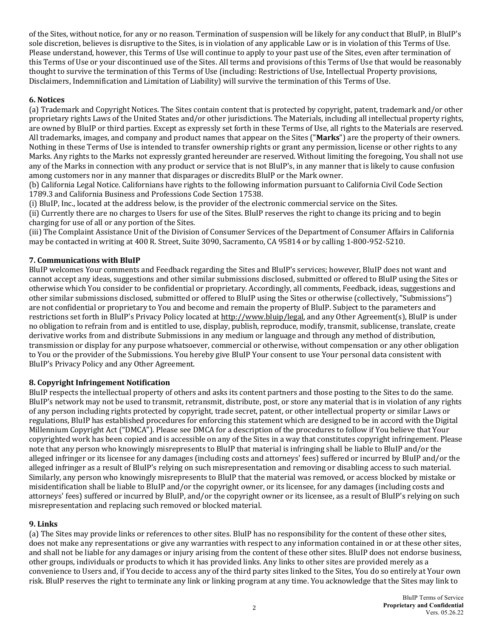of the Sites, without notice, for any or no reason. Termination of suspension will be likely for any conduct that BluIP, in BluIP's sole discretion, believes is disruptive to the Sites, is in violation of any applicable Law or is in violation of this Terms of Use. Please understand, however, this Terms of Use will continue to apply to your past use of the Sites, even after termination of this Terms of Use or your discontinued use of the Sites. All terms and provisions of this Terms of Use that would be reasonably thought to survive the termination of this Terms of Use (including: Restrictions of Use, Intellectual Property provisions, Disclaimers, Indemnification and Limitation of Liability) will survive the termination of this Terms of Use.

# **6. Notices**

(a) Trademark and Copyright Notices. The Sites contain content that is protected by copyright, patent, trademark and/or other proprietary rights Laws of the United States and/or other jurisdictions. The Materials, including all intellectual property rights, are owned by BluIP or third parties. Except as expressly set forth in these Terms of Use, all rights to the Materials are reserved. All trademarks, images, and company and product names that appear on the Sites ("**Marks**") are the property of their owners. Nothing in these Terms of Use is intended to transfer ownership rights or grant any permission, license or other rights to any Marks. Any rights to the Marks not expressly granted hereunder are reserved. Without limiting the foregoing, You shall not use any of the Marks in connection with any product or service that is not BluIP's, in any manner that is likely to cause confusion among customers nor in any manner that disparages or discredits BluIP or the Mark owner.

(b) California Legal Notice. Californians have rights to the following information pursuant to California Civil Code Section 1789.3 and California Business and Professions Code Section 17538.

(i) BluIP, Inc., located at the address below, is the provider of the electronic commercial service on the Sites. (ii) Currently there are no charges to Users for use of the Sites. BluIP reserves the right to change its pricing and to begin charging for use of all or any portion of the Sites.

(iii) The Complaint Assistance Unit of the Division of Consumer Services of the Department of Consumer Affairs in California may be contacted in writing at 400 R. Street, Suite 3090, Sacramento, CA 95814 or by calling 1-800-952-5210.

# **7. Communications with BluIP**

BluIP welcomes Your comments and Feedback regarding the Sites and BluIP's services; however, BluIP does not want and cannot accept any ideas, suggestions and other similar submissions disclosed, submitted or offered to BluIP using the Sites or otherwise which You consider to be confidential or proprietary. Accordingly, all comments, Feedback, ideas, suggestions and other similar submissions disclosed, submitted or offered to BluIP using the Sites or otherwise (collectively, "Submissions") are not confidential or proprietary to You and become and remain the property of BluIP. Subject to the parameters and restrictions set forth in BluIP's Privacy Policy located at http://www.bluip/legal, and any Other Agreement(s), BluIP is under no obligation to refrain from and is entitled to use, display, publish, reproduce, modify, transmit, sublicense, translate, create derivative works from and distribute Submissions in any medium or language and through any method of distribution, transmission or display for any purpose whatsoever, commercial or otherwise, without compensation or any other obligation to You or the provider of the Submissions. You hereby give BluIP Your consent to use Your personal data consistent with BluIP's Privacy Policy and any Other Agreement.

# **8. Copyright Infringement Notification**

BluIP respects the intellectual property of others and asks its content partners and those posting to the Sites to do the same. BluIP's network may not be used to transmit, retransmit, distribute, post, or store any material that is in violation of any rights of any person including rights protected by copyright, trade secret, patent, or other intellectual property or similar Laws or regulations, BluIP has established procedures for enforcing this statement which are designed to be in accord with the Digital Millennium Copyright Act ("DMCA"). Please see DMCA for a description of the procedures to follow if You believe that Your copyrighted work has been copied and is accessible on any of the Sites in a way that constitutes copyright infringement. Please note that any person who knowingly misrepresents to BluIP that material is infringing shall be liable to BluIP and/or the alleged infringer or its licensee for any damages (including costs and attorneys' fees) suffered or incurred by BluIP and/or the alleged infringer as a result of BluIP's relying on such misrepresentation and removing or disabling access to such material. Similarly, any person who knowingly misrepresents to BluIP that the material was removed, or access blocked by mistake or misidentification shall be liable to BluIP and/or the copyright owner, or its licensee, for any damages (including costs and attorneys' fees) suffered or incurred by BluIP, and/or the copyright owner or its licensee, as a result of BluIP's relying on such misrepresentation and replacing such removed or blocked material.

# **9. Links**

(a) The Sites may provide links or references to other sites. BluIP has no responsibility for the content of these other sites, does not make any representations or give any warranties with respect to any information contained in or at these other sites, and shall not be liable for any damages or injury arising from the content of these other sites. BluIP does not endorse business, other groups, individuals or products to which it has provided links. Any links to other sites are provided merely as a convenience to Users and, if You decide to access any of the third party sites linked to the Sites, You do so entirely at Your own risk. BluIP reserves the right to terminate any link or linking program at any time. You acknowledge that the Sites may link to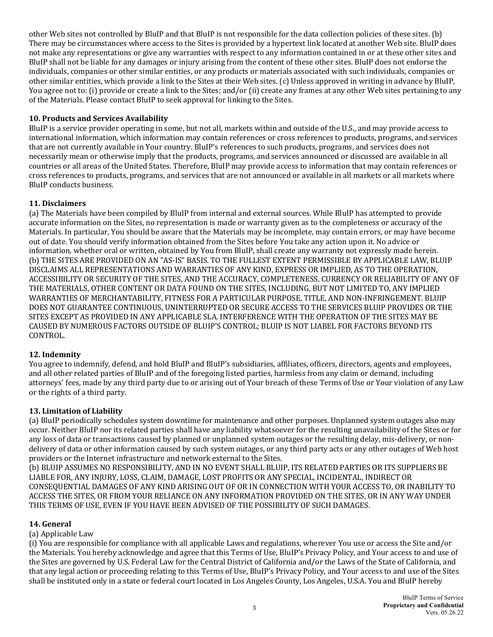other Web sites not controlled by BluIP and that BluIP is not responsible for the data collection policies of these sites. (b) There may be circumstances where access to the Sites is provided by a hypertext link located at another Web site. BluIP does not make any representations or give any warranties with respect to any information contained in or at these other sites and BluIP shall not be liable for any damages or injury arising from the content of these other sites. BluIP does not endorse the individuals, companies or other similar entities, or any products or materials associated with such individuals, companies or other similar entities, which provide a link to the Sites at their Web sites. (c) Unless approved in writing in advance by BluIP, You agree not to: (i) provide or create a link to the Sites; and/or (ii) create any frames at any other Web sites pertaining to any of the Materials. Please contact BluIP to seek approval for linking to the Sites.

# **10. Products and Services Availability**

BluIP is a service provider operating in some, but not all, markets within and outside of the U.S., and may provide access to international information, which information may contain references or cross references to products, programs, and services that are not currently available in Your country. BluIP's references to such products, programs, and services does not necessarily mean or otherwise imply that the products, programs, and services announced or discussed are available in all countries or all areas of the United States. Therefore, BluIP may provide access to information that may contain references or cross references to products, programs, and services that are not announced or available in all markets or all markets where BluIP conducts business.

## **11. Disclaimers**

(a) The Materials have been compiled by BluIP from internal and external sources. While BluIP has attempted to provide accurate information on the Sites, no representation is made or warranty given as to the completeness or accuracy of the Materials. In particular, You should be aware that the Materials may be incomplete, may contain errors, or may have become out of date. You should verify information obtained from the Sites before You take any action upon it. No advice or information, whether oral or written, obtained by You from BluIP, shall create any warranty not expressly made herein. (b) THE SITES ARE PROVIDED ON AN "AS-IS" BASIS. TO THE FULLEST EXTENT PERMISSIBLE BY APPLICABLE LAW, BLUIP DISCLAIMS ALL REPRESENTATIONS AND WARRANTIES OF ANY KIND, EXPRESS OR IMPLIED, AS TO THE OPERATION, ACCESSIBILITY OR SECURITY OF THE SITES, AND THE ACCURACY, COMPLETENESS, CURRENCY OR RELIABILITY OF ANY OF THE MATERIALS, OTHER CONTENT OR DATA FOUND ON THE SITES, INCLUDING, BUT NOT LIMITED TO, ANY IMPLIED WARRANTIES OF MERCHANTABILITY, FITNESS FOR A PARTICULAR PURPOSE, TITLE, AND NON-INFRINGEMENT. BLUIP DOES NOT GUARANTEE CONTINUOUS, UNINTERRUPTED OR SECURE ACCESS TO THE SERVICES BLUIP PROVIDES OR THE SITES EXCEPT AS PROVIDED IN ANY APPLICABLE SLA. INTERFERENCE WITH THE OPERATION OF THE SITES MAY BE CAUSED BY NUMEROUS FACTORS OUTSIDE OF BLUIP'S CONTROL; BLUIP IS NOT LIABEL FOR FACTORS BEYOND ITS CONTROL.

### **12. Indemnity**

You agree to indemnify, defend, and hold BluIP and BluIP's subsidiaries, affiliates, officers, directors, agents and employees, and all other related parties of BluIP and of the foregoing listed parties, harmless from any claim or demand, including attorneys' fees, made by any third party due to or arising out of Your breach of these Terms of Use or Your violation of any Law or the rights of a third party.

# **13. Limitation of Liability**

(a) BluIP periodically schedules system downtime for maintenance and other purposes. Unplanned system outages also may occur. Neither BluIP nor its related parties shall have any liability whatsoever for the resulting unavailability of the Sites or for any loss of data or transactions caused by planned or unplanned system outages or the resulting delay, mis-delivery, or nondelivery of data or other information caused by such system outages, or any third party acts or any other outages of Web host providers or the Internet infrastructure and network external to the Sites.

(b) BLUIP ASSUMES NO RESPONSIBILITY, AND IN NO EVENT SHALL BLUIP, ITS RELATED PARTIES OR ITS SUPPLIERS BE LIABLE FOR, ANY INJURY, LOSS, CLAIM, DAMAGE, LOST PROFITS OR ANY SPECIAL, INCIDENTAL, INDIRECT OR CONSEQUENTIAL DAMAGES OF ANY KIND ARISING OUT OF OR IN CONNECTION WITH YOUR ACCESS TO, OR INABILITY TO ACCESS THE SITES, OR FROM YOUR RELIANCE ON ANY INFORMATION PROVIDED ON THE SITES, OR IN ANY WAY UNDER THIS TERMS OF USE, EVEN IF YOU HAVE BEEN ADVISED OF THE POSSIBILITY OF SUCH DAMAGES.

### **14. General**

### (a) Applicable Law

(i) You are responsible for compliance with all applicable Laws and regulations, wherever You use or access the Site and/or the Materials. You hereby acknowledge and agree that this Terms of Use, BluIP's Privacy Policy, and Your access to and use of the Sites are governed by U.S. Federal Law for the Central District of California and/or the Laws of the State of California, and that any legal action or proceeding relating to this Terms of Use, BluIP's Privacy Policy, and Your access to and use of the Sites shall be instituted only in a state or federal court located in Los Angeles County, Los Angeles, U.S.A. You and BluIP hereby